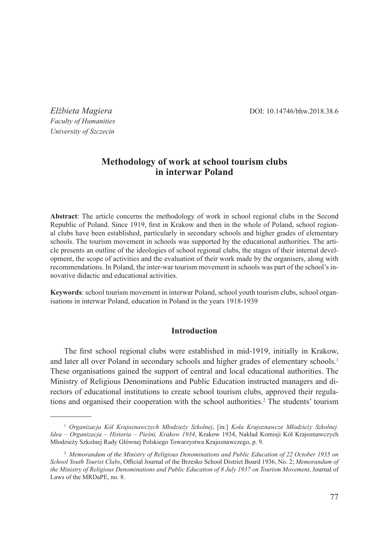*Elżbieta Magiera* DOI: 10.14746/bhw.2018.38.6

*Faculty of Humanities University of Szczecin*

# **Methodology of work at school tourism clubs in interwar Poland**

**Abstract**: The article concerns the methodology of work in school regional clubs in the Second Republic of Poland. Since 1919, first in Krakow and then in the whole of Poland, school regional clubs have been established, particularly in secondary schools and higher grades of elementary schools. The tourism movement in schools was supported by the educational authorities. The article presents an outline of the ideologies of school regional clubs, the stages of their internal development, the scope of activities and the evaluation of their work made by the organisers, along with recommendations. In Poland, the inter-war tourism movement in schools was part of the school's innovative didactic and educational activities.

**Keywords**: school tourism movement in interwar Poland, school youth tourism clubs, school organisations in interwar Poland, education in Poland in the years 1918-1939

# **Introduction**

The first school regional clubs were established in mid-1919, initially in Krakow, and later all over Poland in secondary schools and higher grades of elementary schools.<sup>1</sup> These organisations gained the support of central and local educational authorities. The Ministry of Religious Denominations and Public Education instructed managers and directors of educational institutions to create school tourism clubs, approved their regulations and organised their cooperation with the school authorities.<sup>2</sup> The students' tourism

<sup>1</sup> *Organizacja Kół Krajoznawczych Młodzieży Szkolnej*, [in:] *Koła Krajoznawcze Młodzieży Szkolnej. Idea – Organizacja – Historia – Pieśni, Krakow 1934*, Krakow 1934, Nakład Komisji Kół Krajoznawczych Młodzieży Szkolnej Rady Głównej Polskiego Towarzystwa Krajoznawczego, p. 9.

<sup>2</sup> *Memorandum of the Ministry of Religious Denominations and Public Education of 22 October 1935 on School Youth Tourist Clubs*, Official Journal of the Brzesko School District Board 1936, No. 2; *Memorandum of the Ministry of Religious Denominations and Public Education of 8 July 1937 on Tourism Movement*, Journal of Laws of the MRDaPE, no. 8.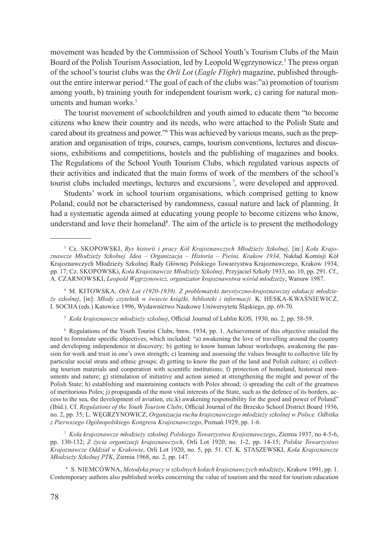movement was headed by the Commission of School Youth's Tourism Clubs of the Main Board of the Polish Tourism Association, led by Leopold Węgrzynowicz.<sup>3</sup> The press organ of the school's tourist clubs was the *Orli Lot* (*Eagle Flight*) magazine, published throughout the entire interwar period.<sup>4</sup> The goal of each of the clubs was:"a) promotion of tourism among youth, b) training youth for independent tourism work, c) caring for natural monuments and human works.<sup>5</sup>

The tourist movement of schoolchildren and youth aimed to educate them "to become citizens who knew their country and its needs, who were attached to the Polish State and cared about its greatness and power."<sup>6</sup> This was achieved by various means, such as the preparation and organisation of trips, courses, camps, tourism conventions, lectures and discussions, exhibitions and competitions, hostels and the publishing of magazines and books. The Regulations of the School Youth Tourism Clubs, which regulated various aspects of their activities and indicated that the main forms of work of the members of the school's tourist clubs included meetings, lectures and excursions 7, were developed and approved.

Students' work in school tourism organisations, which comprised getting to know Poland, could not be characterised by randomness, casual nature and lack of planning. It had a systematic agenda aimed at educating young people to become citizens who know, understand and love their homeland<sup>8</sup>. The aim of the article is to present the methodology

<sup>5</sup> *Koła krajoznawcze młodzieży szkolnej*, Official Journal of Lublin KOS, 1930, no. 2, pp. 58-59.

<sup>6</sup> Regulations of the Youth Tourist Clubs, bmw, 1934, pp. 1. Achievement of this objective entailed the need to formulate specific objectives, which included: "a) awakening the love of travelling around the country and developing independence in discovery; b) getting to know human labour workshops, awakening the passion for work and trust in one's own strength; c) learning and assessing the values brought to collective life by particular social strata and ethnic groups; d) getting to know the past of the land and Polish culture; e) collecting tourism materials and cooperation with scientific institutions; f) protection of homeland, historical monuments and nature; g) stimulation of initiative and action aimed at strengthening the might and power of the Polish State; h) establishing and maintaining contacts with Poles abroad; i) spreading the cult of the greatness of meritorious Poles; j) propaganda of the most vital interests of the State, such as the defence of its borders, access to the sea, the development of aviation, etc.k) awakening responsibility for the good and power of Poland" (Ibid.). Cf. *Regulations of the Youth Tourism Clubs*, Official Journal of the Brzesko School District Board 1936, no. 2, pp. 35; L. WĘGRZYNOWICZ, *Organizacja ruchu krajoznawczego młodzieży szkolnej w Polsce. Odbitka z Pierwszego Ogólnopolskiego Kongresu Krajoznawczego*, Poznań 1929, pp. 1-6.

<sup>7</sup> *Koła krajoznawcze młodzieży szkolnej Polskiego Towarzystwa Krajoznawczego*, Ziemia 1937, no 4-5-6, pp. 130-132; *Z życia organizacji krajoznawczych*, Orli Lot 1920, no. 1-2, pp. 14-15; *Polskie Towarzystwo Krajoznawcze Oddział w Krakowie*, Orli Lot 1920, no. 5, pp. 51. Cf. K. STASZEWSKI, *Koła Krajoznawcze Młodzieży Szkolnej PTK*, Ziemia 1968, no. 2, pp. 147.

<sup>8</sup> S. Niemcówna, *Metodyka pracy w szkolnych kołach krajoznawczych młodzieży*, Krakow 1991, pp. 1. Contemporary authors also published works concerning the value of tourism and the need for tourism education

<sup>3</sup> Cz. Skopowski, *Rys historii i pracy Kół Krajoznawczych Młodzieży Szkolnej,* [in:] *Koła Krajoznawcze Młodzieży Szkolnej. Idea – Organizacja – Historia – Pieśni, Krakow 1934*, Nakład Komisji Kół Krajoznawczych Młodzieży Szkolnej Rady Głównej Polskiego Towarzystwa Krajoznawczego, Krakow 1934, pp. 17; Cz. Skopowski, *Koła Krajoznawcze Młodzieży Szkolnej*, Przyjaciel Szkoły 1933, no. 10, pp. 291. Cf., A. Czarnowski, *Leopold Węgrzynowicz, organizator krajoznawstwa wśród młodzieży*, Warsaw 1987.

<sup>4</sup> M. Kitowska, *Orli Lot (1920-1939). Z problematyki turystyczno-krajoznawczej edukacji młodzieży szkolnej*, [in]: *Młody czytelnik w świecie książki, biblioteki i informacji.* K. Heska-Kwaśniewicz, I. SOCHA (eds.) Katowice 1996, Wydawnictwo Naukowe Uniwersytetu Śląskiego, pp. 69-70.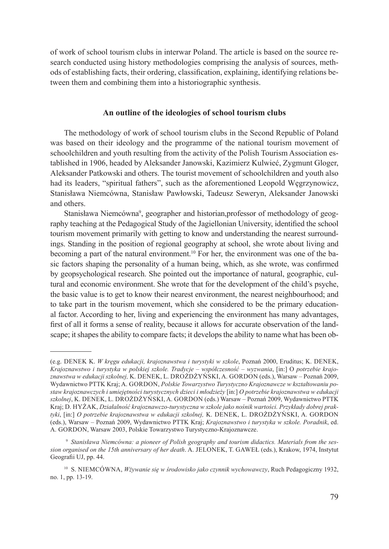of work of school tourism clubs in interwar Poland. The article is based on the source research conducted using history methodologies comprising the analysis of sources, methods of establishing facts, their ordering, classification, explaining, identifying relations between them and combining them into a historiographic synthesis.

# **An outline of the ideologies of school tourism clubs**

The methodology of work of school tourism clubs in the Second Republic of Poland was based on their ideology and the programme of the national tourism movement of schoolchildren and youth resulting from the activity of the Polish Tourism Association established in 1906, headed by Aleksander Janowski, Kazimierz Kulwieć, Zygmunt Gloger, Aleksander Patkowski and others. The tourist movement of schoolchildren and youth also had its leaders, "spiritual fathers", such as the aforementioned Leopold Węgrzynowicz, Stanisława Niemcówna, Stanisław Pawłowski, Tadeusz Seweryn, Aleksander Janowski and others.

Stanisława Niemcówna<sup>9</sup>, geographer and historian, professor of methodology of geography teaching at the Pedagogical Study of the Jagiellonian University, identified the school tourism movement primarily with getting to know and understanding the nearest surroundings. Standing in the position of regional geography at school, she wrote about living and becoming a part of the natural environment.10 For her, the environment was one of the basic factors shaping the personality of a human being, which, as she wrote, was confirmed by geopsychological research. She pointed out the importance of natural, geographic, cultural and economic environment. She wrote that for the development of the child's psyche, the basic value is to get to know their nearest environment, the nearest neighbourhood; and to take part in the tourism movement, which she considered to be the primary educational factor. According to her, living and experiencing the environment has many advantages, first of all it forms a sense of reality, because it allows for accurate observation of the landscape; it shapes the ability to compare facts; it develops the ability to name what has been ob-

<sup>(</sup>e.g. Denek K. *W kręgu edukacji, krajoznawstwa i turystyki w szkole*, Poznań 2000, Eruditus; K. Denek, *Krajoznawstwo i turystyka w polskiej szkole. Tradycje – współczesność – wyzwania*, [in:] O *potrzebie krajoznawstwa w edukacji szkolnej,* K. Denek, L. Drożdżyński, A. Gordon (eds.), Warsaw – Poznań 2009, Wydawnictwo PTTK Kraj; A. GORDON, *Polskie Towarzystwo Turystyczno Krajoznawcze w kształtowaniu postaw krajoznawczych i umiejętności turystycznych dzieci i młodzieży* [in:] *O potrzebie krajoznawstwa w edukacji szkolnej*, K. Denek, L. Drożdżyński, A. Gordon (eds.) Warsaw – Poznań 2009, Wydawnictwo PTTK Kraj; D. Hyżak, *Działalność krajoznawczo-turystyczna w szkole jako nośnik wartości. Przykłady dobrej praktyki*, [in:] *O potrzebie krajoznawstwa w edukacji szkolnej,* K. Denek, L. Drożdżyński, A. Gordon (eds.), Warsaw – Poznań 2009, Wydawnictwo PTTK Kraj; *Krajoznawstwo i turystyka w szkole. Poradnik*, ed. A. GORDON, Warsaw 2003, Polskie Towarzystwo Turystyczno-Krajoznawcze.

<sup>9</sup> *Stanisława Niemcówna: a pioneer of Polish geography and tourism didactics. Materials from the session organised on the 15th anniversary of her death*. A. Jelonek, T. Gaweł (eds.), Krakow, 1974, Instytut Geografii UJ, pp. 44.

<sup>10</sup> S. Niemcówna, *Wżywanie się w środowisko jako czynnik wychowawczy*, Ruch Pedagogiczny 1932, no. 1, pp. 13-19.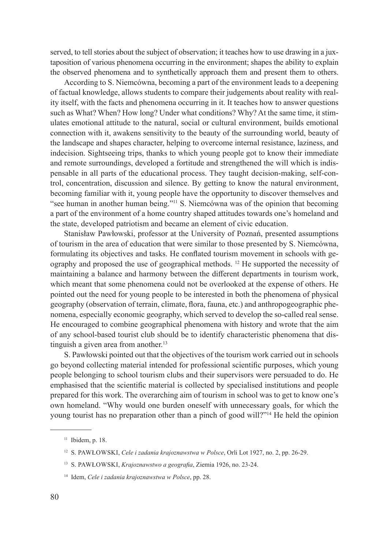served, to tell stories about the subject of observation; it teaches how to use drawing in a juxtaposition of various phenomena occurring in the environment; shapes the ability to explain the observed phenomena and to synthetically approach them and present them to others.

According to S. Niemcówna, becoming a part of the environment leads to a deepening of factual knowledge, allows students to compare their judgements about reality with reality itself, with the facts and phenomena occurring in it. It teaches how to answer questions such as What? When? How long? Under what conditions? Why? At the same time, it stimulates emotional attitude to the natural, social or cultural environment, builds emotional connection with it, awakens sensitivity to the beauty of the surrounding world, beauty of the landscape and shapes character, helping to overcome internal resistance, laziness, and indecision. Sightseeing trips, thanks to which young people got to know their immediate and remote surroundings, developed a fortitude and strengthened the will which is indispensable in all parts of the educational process. They taught decision-making, self-control, concentration, discussion and silence. By getting to know the natural environment, becoming familiar with it, young people have the opportunity to discover themselves and "see human in another human being."<sup>11</sup> S. Niemcówna was of the opinion that becoming a part of the environment of a home country shaped attitudes towards one's homeland and the state, developed patriotism and became an element of civic education.

Stanisław Pawłowski, professor at the University of Poznań, presented assumptions of tourism in the area of education that were similar to those presented by S. Niemcówna, formulating its objectives and tasks. He conflated tourism movement in schools with geography and proposed the use of geographical methods. 12 He supported the necessity of maintaining a balance and harmony between the different departments in tourism work, which meant that some phenomena could not be overlooked at the expense of others. He pointed out the need for young people to be interested in both the phenomena of physical geography (observation of terrain, climate, flora, fauna, etc.) and anthropogeographic phenomena, especially economic geography, which served to develop the so-called real sense. He encouraged to combine geographical phenomena with history and wrote that the aim of any school-based tourist club should be to identify characteristic phenomena that distinguish a given area from another. $13$ 

S. Pawłowski pointed out that the objectives of the tourism work carried out in schools go beyond collecting material intended for professional scientific purposes, which young people belonging to school tourism clubs and their supervisors were persuaded to do. He emphasised that the scientific material is collected by specialised institutions and people prepared for this work. The overarching aim of tourism in school was to get to know one's own homeland. "Why would one burden oneself with unnecessary goals, for which the young tourist has no preparation other than a pinch of good will?"14 He held the opinion

<sup>&</sup>lt;sup>11</sup> Ibidem, p. 18.

<sup>12</sup> S. Pawłowski, *Cele i zadania krajoznawstwa w Polsce*, Orli Lot 1927, no. 2, pp. 26-29.

<sup>13</sup> S. Pawłowski, *Krajoznawstwo a geografia*, Ziemia 1926, no. 23-24.

<sup>14</sup> Idem, *Cele i zadania krajoznawstwa w Polsce*, pp. 28.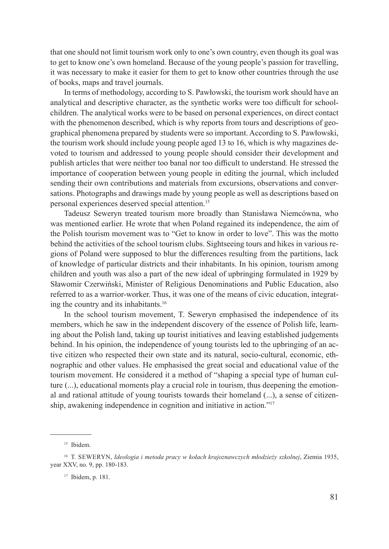that one should not limit tourism work only to one's own country, even though its goal was to get to know one's own homeland. Because of the young people's passion for travelling, it was necessary to make it easier for them to get to know other countries through the use of books, maps and travel journals.

In terms of methodology, according to S. Pawłowski, the tourism work should have an analytical and descriptive character, as the synthetic works were too difficult for schoolchildren. The analytical works were to be based on personal experiences, on direct contact with the phenomenon described, which is why reports from tours and descriptions of geographical phenomena prepared by students were so important. According to S. Pawłowski, the tourism work should include young people aged 13 to 16, which is why magazines devoted to tourism and addressed to young people should consider their development and publish articles that were neither too banal nor too difficult to understand. He stressed the importance of cooperation between young people in editing the journal, which included sending their own contributions and materials from excursions, observations and conversations. Photographs and drawings made by young people as well as descriptions based on personal experiences deserved special attention.15

Tadeusz Seweryn treated tourism more broadly than Stanisława Niemcówna, who was mentioned earlier. He wrote that when Poland regained its independence, the aim of the Polish tourism movement was to "Get to know in order to love". This was the motto behind the activities of the school tourism clubs. Sightseeing tours and hikes in various regions of Poland were supposed to blur the differences resulting from the partitions, lack of knowledge of particular districts and their inhabitants. In his opinion, tourism among children and youth was also a part of the new ideal of upbringing formulated in 1929 by Sławomir Czerwiński, Minister of Religious Denominations and Public Education, also referred to as a warrior-worker. Thus, it was one of the means of civic education, integrating the country and its inhabitants.<sup>16</sup>

In the school tourism movement, T. Seweryn emphasised the independence of its members, which he saw in the independent discovery of the essence of Polish life, learning about the Polish land, taking up tourist initiatives and leaving established judgements behind. In his opinion, the independence of young tourists led to the upbringing of an active citizen who respected their own state and its natural, socio-cultural, economic, ethnographic and other values. He emphasised the great social and educational value of the tourism movement. He considered it a method of "shaping a special type of human culture  $(...)$ , educational moments play a crucial role in tourism, thus deepening the emotional and rational attitude of young tourists towards their homeland (...), a sense of citizenship, awakening independence in cognition and initiative in action."17

<sup>&</sup>lt;sup>15</sup> Ibidem.

<sup>&</sup>lt;sup>16</sup> T. SEWERYN, *Ideologia i metoda pracy w kołach krajoznawczych młodzieży szkolnej*, Ziemia 1935, year XXV, no. 9, pp. 180-183.

<sup>17</sup> Ibidem, p. 181.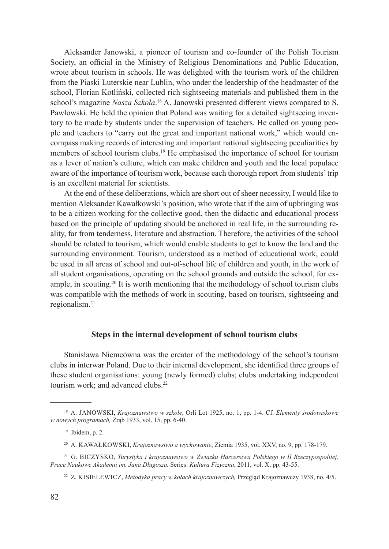Aleksander Janowski, a pioneer of tourism and co-founder of the Polish Tourism Society, an official in the Ministry of Religious Denominations and Public Education, wrote about tourism in schools. He was delighted with the tourism work of the children from the Piaski Luterskie near Lublin, who under the leadership of the headmaster of the school, Florian Kotliński, collected rich sightseeing materials and published them in the school's magazine *Nasza Szkoła*.<sup>18</sup> A. Janowski presented different views compared to S. Pawłowski. He held the opinion that Poland was waiting for a detailed sightseeing inventory to be made by students under the supervision of teachers. He called on young people and teachers to "carry out the great and important national work," which would encompass making records of interesting and important national sightseeing peculiarities by members of school tourism clubs.19 He emphasised the importance of school for tourism as a lever of nation's culture, which can make children and youth and the local populace aware of the importance of tourism work, because each thorough report from students' trip is an excellent material for scientists.

At the end of these deliberations, which are short out of sheer necessity, I would like to mention Aleksander Kawałkowski's position, who wrote that if the aim of upbringing was to be a citizen working for the collective good, then the didactic and educational process based on the principle of updating should be anchored in real life, in the surrounding reality, far from tenderness, literature and abstraction. Therefore, the activities of the school should be related to tourism, which would enable students to get to know the land and the surrounding environment. Tourism, understood as a method of educational work, could be used in all areas of school and out-of-school life of children and youth, in the work of all student organisations, operating on the school grounds and outside the school, for example, in scouting.<sup>20</sup> It is worth mentioning that the methodology of school tourism clubs was compatible with the methods of work in scouting, based on tourism, sightseeing and regionalism.21

## **Steps in the internal development of school tourism clubs**

Stanisława Niemcówna was the creator of the methodology of the school's tourism clubs in interwar Poland. Due to their internal development, she identified three groups of these student organisations: young (newly formed) clubs; clubs undertaking independent tourism work; and advanced clubs.<sup>22</sup>

<sup>18</sup> A. Janowski, *Krajoznawstwo w szkole*, Orli Lot 1925, no. 1, pp. 1-4. Cf. *Elementy środowiskowe w nowych programach,* Zrąb 1933, vol. 15, pp. 6-40.

<sup>19</sup> Ibidem, p. 2.

<sup>20</sup> A. Kawałkowski, *Krajoznawstwo a wychowanie*, Ziemia 1935, vol. XXV, no. 9, pp. 178-179.

<sup>21</sup> G. Biczysko, *Turystyka i krajoznawstwo w Związku Harcerstwa Polskiego w II Rzeczypospolitej, Prace Naukowe Akademii im. Jana Długosza.* Series: *Kultura Fizyczna*, 2011, vol. X, pp. 43-55.

<sup>22</sup> Z. Kisielewicz, *Metodyka pracy w kołach krajoznawczych,* Przegląd Krajoznawczy 1938, no. 4/5.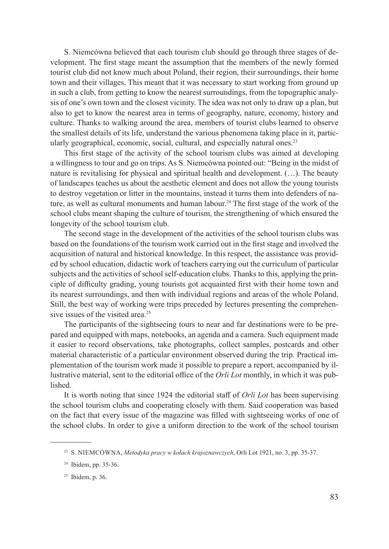S. Niemcówna believed that each tourism club should go through three stages of development. The first stage meant the assumption that the members of the newly formed tourist club did not know much about Poland, their region, their surroundings, their home town and their villages. This meant that it was necessary to start working from ground up in such a club, from getting to know the nearest surroundings, from the topographic analysis of one's own town and the closest vicinity. The idea was not only to draw up a plan, but also to get to know the nearest area in terms of geography, nature, economy, history and culture. Thanks to walking around the area, members of tourist clubs learned to observe the smallest details of its life, understand the various phenomena taking place in it, particularly geographical, economic, social, cultural, and especially natural ones.<sup>23</sup>

This first stage of the activity of the school tourism clubs was aimed at developing a willingness to tour and go on trips. As S. Niemcówna pointed out: "Being in the midst of nature is revitalising for physical and spiritual health and development. (…). The beauty of landscapes teaches us about the aesthetic element and does not allow the young tourists to destroy vegetation or litter in the mountains, instead it turns them into defenders of nature, as well as cultural monuments and human labour.24 The first stage of the work of the school clubs meant shaping the culture of tourism, the strengthening of which ensured the longevity of the school tourism club.

The second stage in the development of the activities of the school tourism clubs was based on the foundations of the tourism work carried out in the first stage and involved the acquisition of natural and historical knowledge. In this respect, the assistance was provided by school education, didactic work of teachers carrying out the curriculum of particular subjects and the activities of school self-education clubs. Thanks to this, applying the principle of difficulty grading, young tourists got acquainted first with their home town and its nearest surroundings, and then with individual regions and areas of the whole Poland. Still, the best way of working were trips preceded by lectures presenting the comprehensive issues of the visited area.<sup>25</sup>

The participants of the sightseeing tours to near and far destinations were to be prepared and equipped with maps, notebooks, an agenda and a camera. Such equipment made it easier to record observations, take photographs, collect samples, postcards and other material characteristic of a particular environment observed during the trip. Practical implementation of the tourism work made it possible to prepare a report, accompanied by illustrative material, sent to the editorial office of the *Orli Lot* monthly, in which it was pub**lished** 

It is worth noting that since 1924 the editorial staff of *Orli Lot* has been supervising the school tourism clubs and cooperating closely with them. Said cooperation was based on the fact that every issue of the magazine was filled with sightseeing works of one of the school clubs. In order to give a uniform direction to the work of the school tourism

<sup>&</sup>lt;sup>23</sup> S. NIEMCÓWNA, *Metodyka pracy w kołach krajoznawczych*, Orli Lot 1921, no. 3, pp. 35-37.

<sup>24</sup> Ibidem, pp. 35-36.

<sup>25</sup> Ibidem, p. 36.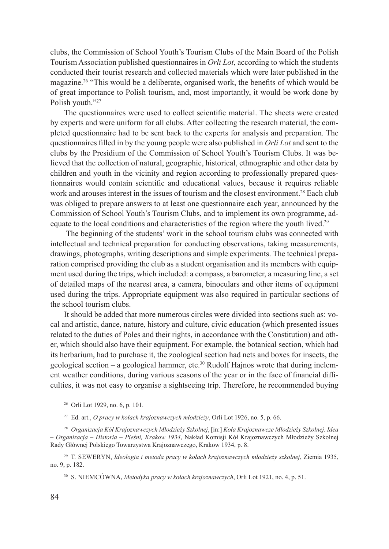clubs, the Commission of School Youth's Tourism Clubs of the Main Board of the Polish Tourism Association published questionnaires in *Orli Lot*, according to which the students conducted their tourist research and collected materials which were later published in the magazine.26 "This would be a deliberate, organised work, the benefits of which would be of great importance to Polish tourism, and, most importantly, it would be work done by Polish youth."27

The questionnaires were used to collect scientific material. The sheets were created by experts and were uniform for all clubs. After collecting the research material, the completed questionnaire had to be sent back to the experts for analysis and preparation. The questionnaires filled in by the young people were also published in *Orli Lot* and sent to the clubs by the Presidium of the Commission of School Youth's Tourism Clubs. It was believed that the collection of natural, geographic, historical, ethnographic and other data by children and youth in the vicinity and region according to professionally prepared questionnaires would contain scientific and educational values, because it requires reliable work and arouses interest in the issues of tourism and the closest environment.<sup>28</sup> Each club was obliged to prepare answers to at least one questionnaire each year, announced by the Commission of School Youth's Tourism Clubs, and to implement its own programme, adequate to the local conditions and characteristics of the region where the youth lived.<sup>29</sup>

 The beginning of the students' work in the school tourism clubs was connected with intellectual and technical preparation for conducting observations, taking measurements, drawings, photographs, writing descriptions and simple experiments. The technical preparation comprised providing the club as a student organisation and its members with equipment used during the trips, which included: a compass, a barometer, a measuring line, a set of detailed maps of the nearest area, a camera, binoculars and other items of equipment used during the trips. Appropriate equipment was also required in particular sections of the school tourism clubs.

It should be added that more numerous circles were divided into sections such as: vocal and artistic, dance, nature, history and culture, civic education (which presented issues related to the duties of Poles and their rights, in accordance with the Constitution) and other, which should also have their equipment. For example, the botanical section, which had its herbarium, had to purchase it, the zoological section had nets and boxes for insects, the geological section – a geological hammer, etc.<sup>30</sup> Rudolf Hajnos wrote that during inclement weather conditions, during various seasons of the year or in the face of financial difficulties, it was not easy to organise a sightseeing trip. Therefore, he recommended buying

<sup>26</sup> Orli Lot 1929, no. 6, p. 101.

<sup>27</sup> Ed. art., *O pracy w kołach krajoznawczych młodzieży*, Orli Lot 1926, no. 5, p. 66.

<sup>28</sup> *Organizacja Kół Krajoznawczych Młodzieży Szkolnej*, [in:] *Koła Krajoznawcze Młodzieży Szkolnej. Idea – Organizacja – Historia – Pieśni, Krakow 1934*, Nakład Komisji Kół Krajoznawczych Młodzieży Szkolnej Rady Głównej Polskiego Towarzystwa Krajoznawczego, Krakow 1934, p. 8.

<sup>29</sup> T. Seweryn, *Ideologia i metoda pracy w kołach krajoznawczych młodzieży szkolnej*, Ziemia 1935, no. 9, p. 182.

<sup>30</sup> S. Niemcówna, *Metodyka pracy w kołach krajoznawczych*, Orli Lot 1921, no. 4, p. 51.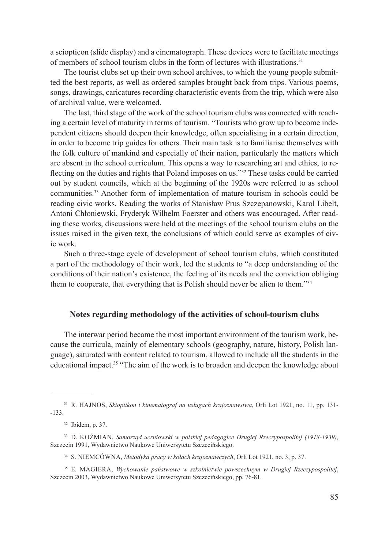a sciopticon (slide display) and a cinematograph. These devices were to facilitate meetings of members of school tourism clubs in the form of lectures with illustrations.31

The tourist clubs set up their own school archives, to which the young people submitted the best reports, as well as ordered samples brought back from trips. Various poems, songs, drawings, caricatures recording characteristic events from the trip, which were also of archival value, were welcomed.

The last, third stage of the work of the school tourism clubs was connected with reaching a certain level of maturity in terms of tourism. "Tourists who grow up to become independent citizens should deepen their knowledge, often specialising in a certain direction, in order to become trip guides for others. Their main task is to familiarise themselves with the folk culture of mankind and especially of their nation, particularly the matters which are absent in the school curriculum. This opens a way to researching art and ethics, to reflecting on the duties and rights that Poland imposes on us."32 These tasks could be carried out by student councils, which at the beginning of the 1920s were referred to as school communities.33 Another form of implementation of mature tourism in schools could be reading civic works. Reading the works of Stanisław Prus Szczepanowski, Karol Libelt, Antoni Chłoniewski, Fryderyk Wilhelm Foerster and others was encouraged. After reading these works, discussions were held at the meetings of the school tourism clubs on the issues raised in the given text, the conclusions of which could serve as examples of civic work.

Such a three-stage cycle of development of school tourism clubs, which constituted a part of the methodology of their work, led the students to "a deep understanding of the conditions of their nation's existence, the feeling of its needs and the conviction obliging them to cooperate, that everything that is Polish should never be alien to them."<sup>34</sup>

# **Notes regarding methodology of the activities of school-tourism clubs**

The interwar period became the most important environment of the tourism work, because the curricula, mainly of elementary schools (geography, nature, history, Polish language), saturated with content related to tourism, allowed to include all the students in the educational impact.35 "The aim of the work is to broaden and deepen the knowledge about

<sup>31</sup> R. Hajnos, *Skioptikon i kinematograf na usługach krajoznawstwa*, Orli Lot 1921, no. 11, pp. 131- -133.

<sup>32</sup> Ibidem, p. 37.

<sup>33</sup> D. Koźmian, *Samorząd uczniowski w polskiej pedagogice Drugiej Rzeczypospolitej (1918-1939),* Szczecin 1991, Wydawnictwo Naukowe Uniwersytetu Szczecińskiego.

<sup>34</sup> S. Niemcówna, *Metodyka pracy w kołach krajoznawczych*, Orli Lot 1921, no. 3, p. 37.

<sup>&</sup>lt;sup>35</sup> E. MAGIERA, *Wychowanie państwowe w szkolnictwie powszechnym w Drugiej Rzeczypospolitej*, Szczecin 2003, Wydawnictwo Naukowe Uniwersytetu Szczecińskiego, pp. 76-81.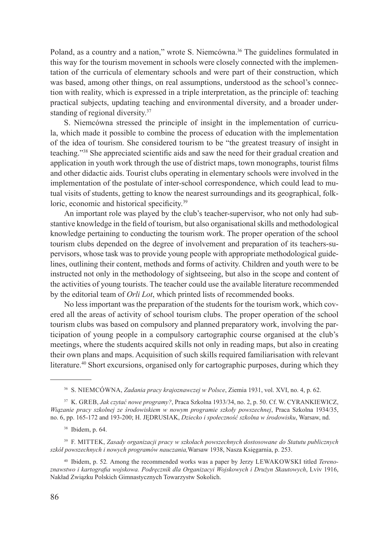Poland, as a country and a nation," wrote S. Niemcówna.<sup>36</sup> The guidelines formulated in this way for the tourism movement in schools were closely connected with the implementation of the curricula of elementary schools and were part of their construction, which was based, among other things, on real assumptions, understood as the school's connection with reality, which is expressed in a triple interpretation, as the principle of: teaching practical subjects, updating teaching and environmental diversity, and a broader understanding of regional diversity.<sup>37</sup>

S. Niemcówna stressed the principle of insight in the implementation of curricula, which made it possible to combine the process of education with the implementation of the idea of tourism. She considered tourism to be "the greatest treasury of insight in teaching."38 She appreciated scientific aids and saw the need for their gradual creation and application in youth work through the use of district maps, town monographs, tourist films and other didactic aids. Tourist clubs operating in elementary schools were involved in the implementation of the postulate of inter-school correspondence, which could lead to mutual visits of students, getting to know the nearest surroundings and its geographical, folkloric, economic and historical specificity.<sup>39</sup>

An important role was played by the club's teacher-supervisor, who not only had substantive knowledge in the field of tourism, but also organisational skills and methodological knowledge pertaining to conducting the tourism work. The proper operation of the school tourism clubs depended on the degree of involvement and preparation of its teachers-supervisors, whose task was to provide young people with appropriate methodological guidelines, outlining their content, methods and forms of activity. Children and youth were to be instructed not only in the methodology of sightseeing, but also in the scope and content of the activities of young tourists. The teacher could use the available literature recommended by the editorial team of *Orli Lot*, which printed lists of recommended books.

No less important was the preparation of the students for the tourism work, which covered all the areas of activity of school tourism clubs. The proper operation of the school tourism clubs was based on compulsory and planned preparatory work, involving the participation of young people in a compulsory cartographic course organised at the club's meetings, where the students acquired skills not only in reading maps, but also in creating their own plans and maps. Acquisition of such skills required familiarisation with relevant literature.<sup>40</sup> Short excursions, organised only for cartographic purposes, during which they

<sup>40</sup> Ibidem, p. 52*.* Among the recommended works was a paper by Jerzy Lewakowski titled *Terenoznawstwo i kartografia wojskowa. Podręcznik dla Organizacyi Wojskowych i Drużyn Skautowych*, Lviv 1916, Nakład Związku Polskich Gimnastycznych Towarzystw Sokolich.

<sup>36</sup> S. Niemcówna, *Zadania pracy krajoznawczej w Polsce*, Ziemia 1931, vol. XVI, no. 4, p. 62.

<sup>&</sup>lt;sup>37</sup> K. GREB, *Jak czytać nowe programy?*, Praca Szkolna 1933/34, no. 2, p. 50. Cf. W. CYRANKIEWICZ, *Wiązanie pracy szkolnej ze środowiskiem w nowym programie szkoły powszechnej*, Praca Szkolna 1934/35, no. 6, pp. 165-172 and 193-200; H. JĘDRUSIAK, *Dziecko i społeczność szkolna w środowisku*, Warsaw, nd.

<sup>38</sup> Ibidem, p. 64.

<sup>39</sup> F. Mittek, *Zasady organizacji pracy w szkołach powszechnych dostosowane do Statutu publicznych szkół powszechnych i nowych programów nauczania,*Warsaw 1938, Nasza Księgarnia, p. 253.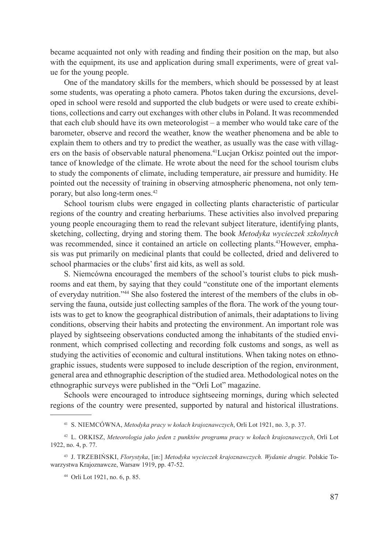became acquainted not only with reading and finding their position on the map, but also with the equipment, its use and application during small experiments, were of great value for the young people.

One of the mandatory skills for the members, which should be possessed by at least some students, was operating a photo camera. Photos taken during the excursions, developed in school were resold and supported the club budgets or were used to create exhibitions, collections and carry out exchanges with other clubs in Poland. It was recommended that each club should have its own meteorologist – a member who would take care of the barometer, observe and record the weather, know the weather phenomena and be able to explain them to others and try to predict the weather, as usually was the case with villagers on the basis of observable natural phenomena.41Lucjan Orkisz pointed out the importance of knowledge of the climate. He wrote about the need for the school tourism clubs to study the components of climate, including temperature, air pressure and humidity. He pointed out the necessity of training in observing atmospheric phenomena, not only temporary, but also long-term ones.<sup>42</sup>

School tourism clubs were engaged in collecting plants characteristic of particular regions of the country and creating herbariums. These activities also involved preparing young people encouraging them to read the relevant subject literature, identifying plants, sketching, collecting, drying and storing them. The book *Metodyka wycieczek szkolnych* was recommended, since it contained an article on collecting plants.<sup>43</sup>However, emphasis was put primarily on medicinal plants that could be collected, dried and delivered to school pharmacies or the clubs' first aid kits, as well as sold.

S. Niemcówna encouraged the members of the school's tourist clubs to pick mushrooms and eat them, by saying that they could "constitute one of the important elements of everyday nutrition."44 She also fostered the interest of the members of the clubs in observing the fauna, outside just collecting samples of the flora. The work of the young tourists was to get to know the geographical distribution of animals, their adaptations to living conditions, observing their habits and protecting the environment. An important role was played by sightseeing observations conducted among the inhabitants of the studied environment, which comprised collecting and recording folk customs and songs, as well as studying the activities of economic and cultural institutions. When taking notes on ethnographic issues, students were supposed to include description of the region, environment, general area and ethnographic description of the studied area. Methodological notes on the ethnographic surveys were published in the "Orli Lot" magazine.

Schools were encouraged to introduce sightseeing mornings, during which selected regions of the country were presented, supported by natural and historical illustrations.

<sup>41</sup> S. Niemcówna, *Metodyka pracy w kołach krajoznawczych*, Orli Lot 1921, no. 3, p. 37.

<sup>42</sup> L. Orkisz, *Meteorologia jako jeden z punktów programu pracy w kołach krajoznawczych*, Orli Lot 1922, no. 4, p. 77.

<sup>43</sup> J. Trzebiński, *Florystyka*, [in:] *Metodyka wycieczek krajoznawczych. Wydanie drugie.* Polskie Towarzystwa Krajoznawcze, Warsaw 1919, pp. 47-52.

<sup>44</sup> Orli Lot 1921, no. 6, p. 85.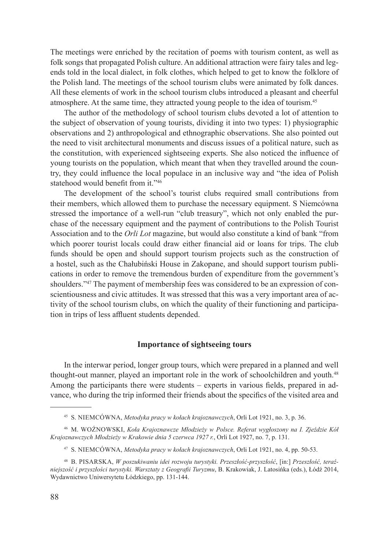The meetings were enriched by the recitation of poems with tourism content, as well as folk songs that propagated Polish culture. An additional attraction were fairy tales and legends told in the local dialect, in folk clothes, which helped to get to know the folklore of the Polish land. The meetings of the school tourism clubs were animated by folk dances. All these elements of work in the school tourism clubs introduced a pleasant and cheerful atmosphere. At the same time, they attracted young people to the idea of tourism.45

The author of the methodology of school tourism clubs devoted a lot of attention to the subject of observation of young tourists, dividing it into two types: 1) physiographic observations and 2) anthropological and ethnographic observations. She also pointed out the need to visit architectural monuments and discuss issues of a political nature, such as the constitution, with experienced sightseeing experts. She also noticed the influence of young tourists on the population, which meant that when they travelled around the country, they could influence the local populace in an inclusive way and "the idea of Polish statehood would benefit from it."46

The development of the school's tourist clubs required small contributions from their members, which allowed them to purchase the necessary equipment. S Niemcówna stressed the importance of a well-run "club treasury", which not only enabled the purchase of the necessary equipment and the payment of contributions to the Polish Tourist Association and to the *Orli Lot* magazine, but would also constitute a kind of bank "from which poorer tourist locals could draw either financial aid or loans for trips. The club funds should be open and should support tourism projects such as the construction of a hostel, such as the Chałubiński House in Zakopane, and should support tourism publications in order to remove the tremendous burden of expenditure from the government's shoulders."47 The payment of membership fees was considered to be an expression of conscientiousness and civic attitudes. It was stressed that this was a very important area of activity of the school tourism clubs, on which the quality of their functioning and participation in trips of less affluent students depended.

## **Importance of sightseeing tours**

In the interwar period, longer group tours, which were prepared in a planned and well thought-out manner, played an important role in the work of schoolchildren and youth.<sup>48</sup> Among the participants there were students – experts in various fields, prepared in advance, who during the trip informed their friends about the specifics of the visited area and

<sup>45</sup> S. Niemcówna, *Metodyka pracy w kołach krajoznawczych*, Orli Lot 1921, no. 3, p. 36.

<sup>46</sup> M. Woźnowski, *Koła Krajoznawcze Młodzieży w Polsce. Referat wygłoszony na I. Zjeździe Kół Krajoznawczych Młodzieży w Krakowie dnia 5 czerwca 1927 r.*, Orli Lot 1927, no. 7, p. 131.

<sup>47</sup> S. Niemcówna, *Metodyka pracy w kołach krajoznawczych*, Orli Lot 1921, no. 4, pp. 50-53.

<sup>48</sup> B. Pisarska, *W poszukiwaniu idei rozwoju turystyki. Przeszłość-przyszłość*, [in:] *Przeszłość, teraźniejszość i przyszłości turystyki. Warsztaty z Geografii Turyzmu*, B. Krakowiak, J. Latosińka (eds.), Łódź 2014, Wydawnictwo Uniwersytetu Łódzkiego, pp. 131-144.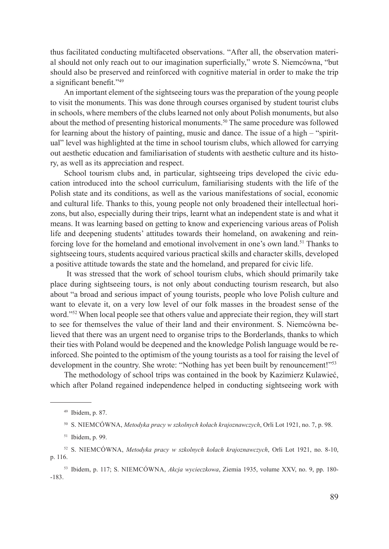thus facilitated conducting multifaceted observations. "After all, the observation material should not only reach out to our imagination superficially," wrote S. Niemcówna, "but should also be preserved and reinforced with cognitive material in order to make the trip a significant benefit."49

An important element of the sightseeing tours was the preparation of the young people to visit the monuments. This was done through courses organised by student tourist clubs in schools, where members of the clubs learned not only about Polish monuments, but also about the method of presenting historical monuments.50 The same procedure was followed for learning about the history of painting, music and dance. The issue of a high – "spiritual" level was highlighted at the time in school tourism clubs, which allowed for carrying out aesthetic education and familiarisation of students with aesthetic culture and its history, as well as its appreciation and respect.

School tourism clubs and, in particular, sightseeing trips developed the civic education introduced into the school curriculum, familiarising students with the life of the Polish state and its conditions, as well as the various manifestations of social, economic and cultural life. Thanks to this, young people not only broadened their intellectual horizons, but also, especially during their trips, learnt what an independent state is and what it means. It was learning based on getting to know and experiencing various areas of Polish life and deepening students' attitudes towards their homeland, on awakening and reinforcing love for the homeland and emotional involvement in one's own land.<sup>51</sup> Thanks to sightseeing tours, students acquired various practical skills and character skills, developed a positive attitude towards the state and the homeland, and prepared for civic life.

 It was stressed that the work of school tourism clubs, which should primarily take place during sightseeing tours, is not only about conducting tourism research, but also about "a broad and serious impact of young tourists, people who love Polish culture and want to elevate it, on a very low level of our folk masses in the broadest sense of the word."<sup>52</sup> When local people see that others value and appreciate their region, they will start to see for themselves the value of their land and their environment. S. Niemcówna believed that there was an urgent need to organise trips to the Borderlands, thanks to which their ties with Poland would be deepened and the knowledge Polish language would be reinforced. She pointed to the optimism of the young tourists as a tool for raising the level of development in the country. She wrote: "Nothing has yet been built by renouncement!"<sup>53</sup>

The methodology of school trips was contained in the book by Kazimierz Kulawieć, which after Poland regained independence helped in conducting sightseeing work with

<sup>49</sup> Ibidem, p. 87.

<sup>50</sup> S. Niemcówna, *Metodyka pracy w szkolnych kołach krajoznawczych*, Orli Lot 1921, no. 7, p. 98.

<sup>51</sup> Ibidem, p. 99.

<sup>52</sup> S. Niemcówna, *Metodyka pracy w szkolnych kołach krajoznawczych*, Orli Lot 1921, no. 8-10, p. 116.

<sup>53</sup> Ibidem, p. 117; S. Niemcówna, *Akcja wycieczkowa*, Ziemia 1935, volume XXV, no. 9, pp. 180- -183.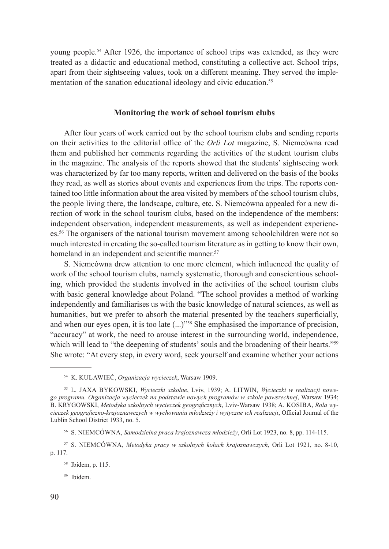young people.54 After 1926, the importance of school trips was extended, as they were treated as a didactic and educational method, constituting a collective act. School trips, apart from their sightseeing values, took on a different meaning. They served the implementation of the sanation educational ideology and civic education.<sup>55</sup>

## **Monitoring the work of school tourism clubs**

After four years of work carried out by the school tourism clubs and sending reports on their activities to the editorial office of the *Orli Lot* magazine, S. Niemcówna read them and published her comments regarding the activities of the student tourism clubs in the magazine. The analysis of the reports showed that the students' sightseeing work was characterized by far too many reports, written and delivered on the basis of the books they read, as well as stories about events and experiences from the trips. The reports contained too little information about the area visited by members of the school tourism clubs, the people living there, the landscape, culture, etc. S. Niemcówna appealed for a new direction of work in the school tourism clubs, based on the independence of the members: independent observation, independent measurements, as well as independent experiences.<sup>56</sup> The organisers of the national tourism movement among schoolchildren were not so much interested in creating the so-called tourism literature as in getting to know their own, homeland in an independent and scientific manner.<sup>57</sup>

S. Niemcówna drew attention to one more element, which influenced the quality of work of the school tourism clubs, namely systematic, thorough and conscientious schooling, which provided the students involved in the activities of the school tourism clubs with basic general knowledge about Poland. "The school provides a method of working independently and familiarises us with the basic knowledge of natural sciences, as well as humanities, but we prefer to absorb the material presented by the teachers superficially, and when our eyes open, it is too late (...)"<sup>58</sup> She emphasised the importance of precision, "accuracy" at work, the need to arouse interest in the surrounding world, independence, which will lead to "the deepening of students' souls and the broadening of their hearts."<sup>59</sup> She wrote: "At every step, in every word, seek yourself and examine whether your actions

<sup>54</sup> K. Kulawieć, *Organizacja wycieczek*, Warsaw 1909.

<sup>55</sup> L. Jaxa Bykowski, *Wycieczki szkolne*, Lviv, 1939; A. LITWIN, *Wycieczki w realizacji nowego programu. Organizacja wycieczek na podstawie nowych programów w szkole powszechnej*, Warsaw 1934; B. KRYGOWSKI, Metodyka szkolnych wycieczek geograficznych, Lviv-Warsaw 1938; A. KOSIBA, *Rola wycieczek geograficzno-krajoznawczych w wychowaniu młodzieży i wytyczne ich realizacji*, Official Journal of the Lublin School District 1933, no. 5.

<sup>56</sup> S. Niemcówna, *Samodzielna praca krajoznawcza młodzieży*, Orli Lot 1923, no. 8, pp. 114-115.

<sup>57</sup> S. Niemcówna, *Metodyka pracy w szkolnych kołach krajoznawczych*, Orli Lot 1921, no. 8-10, p. 117.

<sup>58</sup> Ibidem, p. 115.

<sup>59</sup> Ibidem.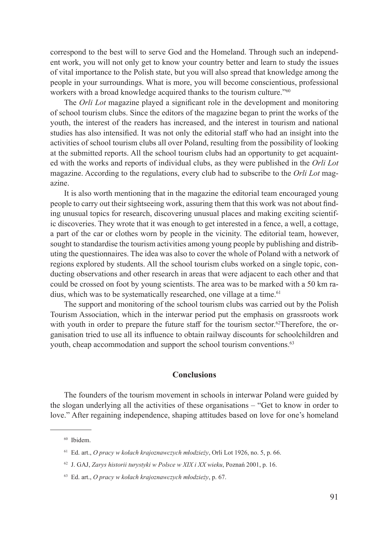correspond to the best will to serve God and the Homeland. Through such an independent work, you will not only get to know your country better and learn to study the issues of vital importance to the Polish state, but you will also spread that knowledge among the people in your surroundings. What is more, you will become conscientious, professional workers with a broad knowledge acquired thanks to the tourism culture."<sup>60</sup>

The *Orli Lot* magazine played a significant role in the development and monitoring of school tourism clubs. Since the editors of the magazine began to print the works of the youth, the interest of the readers has increased, and the interest in tourism and national studies has also intensified. It was not only the editorial staff who had an insight into the activities of school tourism clubs all over Poland, resulting from the possibility of looking at the submitted reports. All the school tourism clubs had an opportunity to get acquainted with the works and reports of individual clubs, as they were published in the *Orli Lot* magazine. According to the regulations, every club had to subscribe to the *Orli Lot* magazine.

It is also worth mentioning that in the magazine the editorial team encouraged young people to carry out their sightseeing work, assuring them that this work was not about finding unusual topics for research, discovering unusual places and making exciting scientific discoveries. They wrote that it was enough to get interested in a fence, a well, a cottage, a part of the car or clothes worn by people in the vicinity. The editorial team, however, sought to standardise the tourism activities among young people by publishing and distributing the questionnaires. The idea was also to cover the whole of Poland with a network of regions explored by students. All the school tourism clubs worked on a single topic, conducting observations and other research in areas that were adjacent to each other and that could be crossed on foot by young scientists. The area was to be marked with a 50 km radius, which was to be systematically researched, one village at a time.<sup>61</sup>

The support and monitoring of the school tourism clubs was carried out by the Polish Tourism Association, which in the interwar period put the emphasis on grassroots work with youth in order to prepare the future staff for the tourism sector.<sup>62</sup>Therefore, the organisation tried to use all its influence to obtain railway discounts for schoolchildren and youth, cheap accommodation and support the school tourism conventions.<sup>63</sup>

# **Conclusions**

The founders of the tourism movement in schools in interwar Poland were guided by the slogan underlying all the activities of these organisations – "Get to know in order to love." After regaining independence, shaping attitudes based on love for one's homeland

<sup>60</sup> Ibidem.

<sup>61</sup> Ed. art., *O pracy w kołach krajoznawczych młodzieży*, Orli Lot 1926, no. 5, p. 66.

<sup>62</sup> J. GAJ, *Zarys historii turystyki w Polsce w XIX i XX wieku*, Poznań 2001, p. 16.

<sup>63</sup> Ed. art., *O pracy w kołach krajoznawczych młodzieży*, p. 67.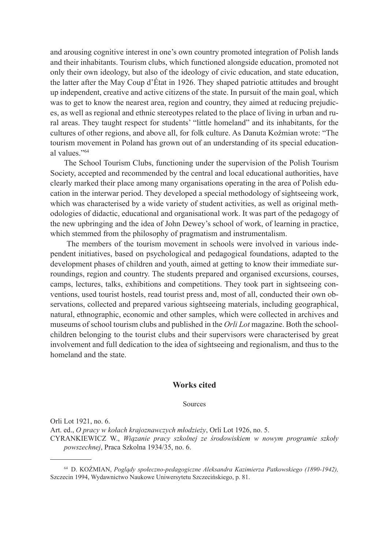and arousing cognitive interest in one's own country promoted integration of Polish lands and their inhabitants. Tourism clubs, which functioned alongside education, promoted not only their own ideology, but also of the ideology of civic education, and state education, the latter after the May Coup d'État in 1926. They shaped patriotic attitudes and brought up independent, creative and active citizens of the state. In pursuit of the main goal, which was to get to know the nearest area, region and country, they aimed at reducing prejudices, as well as regional and ethnic stereotypes related to the place of living in urban and rural areas. They taught respect for students' "little homeland" and its inhabitants, for the cultures of other regions, and above all, for folk culture. As Danuta Koźmian wrote: "The tourism movement in Poland has grown out of an understanding of its special educational values."<sup>64</sup>

The School Tourism Clubs, functioning under the supervision of the Polish Tourism Society, accepted and recommended by the central and local educational authorities, have clearly marked their place among many organisations operating in the area of Polish education in the interwar period. They developed a special methodology of sightseeing work, which was characterised by a wide variety of student activities, as well as original methodologies of didactic, educational and organisational work. It was part of the pedagogy of the new upbringing and the idea of John Dewey's school of work, of learning in practice, which stemmed from the philosophy of pragmatism and instrumentalism.

 The members of the tourism movement in schools were involved in various independent initiatives, based on psychological and pedagogical foundations, adapted to the development phases of children and youth, aimed at getting to know their immediate surroundings, region and country. The students prepared and organised excursions, courses, camps, lectures, talks, exhibitions and competitions. They took part in sightseeing conventions, used tourist hostels, read tourist press and, most of all, conducted their own observations, collected and prepared various sightseeing materials, including geographical, natural, ethnographic, economic and other samples, which were collected in archives and museums of school tourism clubs and published in the *Orli Lot* magazine. Both the schoolchildren belonging to the tourist clubs and their supervisors were characterised by great involvement and full dedication to the idea of sightseeing and regionalism, and thus to the homeland and the state.

#### **Works cited**

Sources

Orli Lot 1921, no. 6.

Art. ed., *O pracy w kołach krajoznawczych młodzieży*, Orli Lot 1926, no. 5.

CYRANKIEWICZ W., *Wiązanie pracy szkolnej ze środowiskiem w nowym programie szkoły powszechnej*, Praca Szkolna 1934/35, no. 6.

<sup>64</sup> D. KOŹMIAN, *Poglądy społeczno-pedagogiczne Aleksandra Kazimierza Patkowskiego (1890-1942),* Szczecin 1994, Wydawnictwo Naukowe Uniwersytetu Szczecińskiego, p. 81.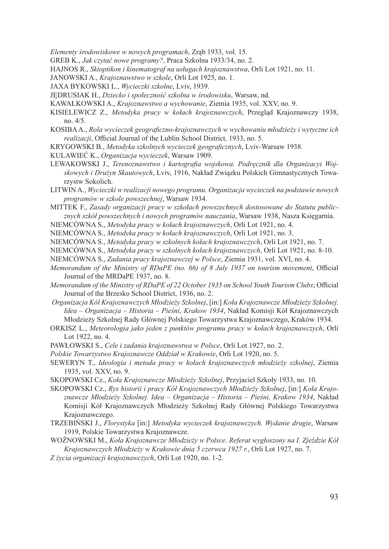*Elementy środowiskowe w nowych programach*, Zrąb 1933, vol. 15.

GREB K., *Jak czytać nowe programy?*, Praca Szkolna 1933/34, no. 2.

HAJNOS R., *Skioptikon i kinematograf na usługach krajoznawstwa*, Orli Lot 1921, no. 11.

JANOWSKI A., *Krajoznawstwo w szkole*, Orli Lot 1925, no. 1.

JAXA BYKOWSKI L., *Wycieczki szkolne*, Lviv, 1939.

JĘDRUSIAK H., *Dziecko i społeczność szkolna w środowisku*, Warsaw, nd.

KAWAŁKOWSKI A., *Krajoznawstwo a wychowanie*, Ziemia 1935, vol. XXV, no. 9.

KISIELEWICZ Z., *Metodyka pracy w kołach krajoznawczych*, Przegląd Krajoznawczy 1938, no. 4/5.

KOSIBA A., *Rola wycieczek geograficzno-krajoznawczych w wychowaniu młodzieży i wytyczne ich realizacji*, Official Journal of the Lublin School District*,* 1933, no. 5.

KRYGOWSKI B., *Metodyka szkolnych wycieczek geograficznych*, Lviv-Warsaw 1938.

KULAWIEĆ K., *Organizacja wycieczek*, Warsaw 1909.

LEWAKOWSKI J., *Terenoznawstwo i kartografia wojskowa. Podręcznik dla Organizacyi Wojskowych i Drużyn Skautowych*, Lviv, 1916, Nakład Związku Polskich Gimnastycznych Towarzystw Sokolich.

LITWIN A., *Wycieczki w realizacji nowego programu. Organizacja wycieczek na podstawie nowych programów w szkole powszechnej*, Warsaw 1934.

MITTEK F., *Zasady organizacji pracy w szkołach powszechnych dostosowane do Statutu publicznych szkół powszechnych i nowych programów nauczania*, Warsaw 1938, Nasza Księgarnia.

NIEMCÓWNA S., *Metodyka pracy w kołach krajoznawczych*, Orli Lot 1921, no. 4.

NIEMCÓWNA S., *Metodyka pracy w kołach krajoznawczych*, Orli Lot 1921, no. 3.

NIEMCÓWNA S., *Metodyka pracy w szkolnych kołach krajoznawczych*, Orli Lot 1921, no. 7.

NIEMCÓWNA S., *Metodyka pracy w szkolnych kołach krajoznawczych*, Orli Lot 1921, no. 8-10.

NIEMCÓWNA S., *Zadania pracy krajoznawczej w Polsce*, Ziemia 1931, vol. XVI, no. 4.

- *Memorandum of the Ministry of RDaPE (no. 66) of 8 July 1937 on tourism movement*, Official Journal of the MRDaPE 1937, no. 8.
- *Memorandum of the Ministry of RDaPE of 22 October 1935 on School Youth Tourism Clubs*; Official Journal of the Brzesko School District, 1936, no. 2.

*Organizacja Kół Krajoznawczych Młodzieży Szkolnej*, [in:] *Koła Krajoznawcze Młodzieży Szkolnej. Idea – Organizacja – Historia – Pieśni, Krakow 1934*, Nakład Komisji Kół Krajoznawczych Młodzieży Szkolnej Rady Głównej Polskiego Towarzystwa Krajoznawczego, Kraków 1934.

ORKISZ L., *Meteorologia jako jeden z punktów programu pracy w kołach krajoznawczych*, Orli Lot 1922, no. 4.

PAWŁOWSKI S., *Cele i zadania krajoznawstwa w Polsce*, Orli Lot 1927, no. 2.

*Polskie Towarzystwo Krajoznawcze Oddział w Krakowie*, Orli Lot 1920, no. 5.

SEWERYN T., *Ideologia i metoda pracy w kołach krajoznawczych młodzieży szkolnej*, Ziemia 1935, vol. XXV, no. 9.

SKOPOWSKI Cz., *Koła Krajoznawcze Młodzieży Szkolnej*, Przyjaciel Szkoły 1933, no. 10.

SKOPOWSKI Cz., *Rys historii i pracy Kół Krajoznawczych Młodzieży Szkolnej*, [in:] *Koła Krajoznawcze Młodzieży Szkolnej. Idea – Organizacja – Historia – Pieśni, Krakow 1934*, Nakład Komisji Kół Krajoznawczych Młodzieży Szkolnej Rady Głównej Polskiego Towarzystwa Krajoznawczego.

TRZEBIŃSKI J., *Florystyka* [in:] *Metodyka wycieczek krajoznawczych. Wydanie drugie*, Warsaw 1919, Polskie Towarzystwa Krajoznawcze.

WOŹNOWSKI M., *Koła Krajoznawcze Młodzieży w Polsce. Referat wygłoszony na I. Zjeździe Kół Krajoznawczych Młodzieży w Krakowie dnia 5 czerwca 1927 r.*, Orli Lot 1927, no. 7.

*Z życia organizacji krajoznawczych*, Orli Lot 1920, no. 1-2.